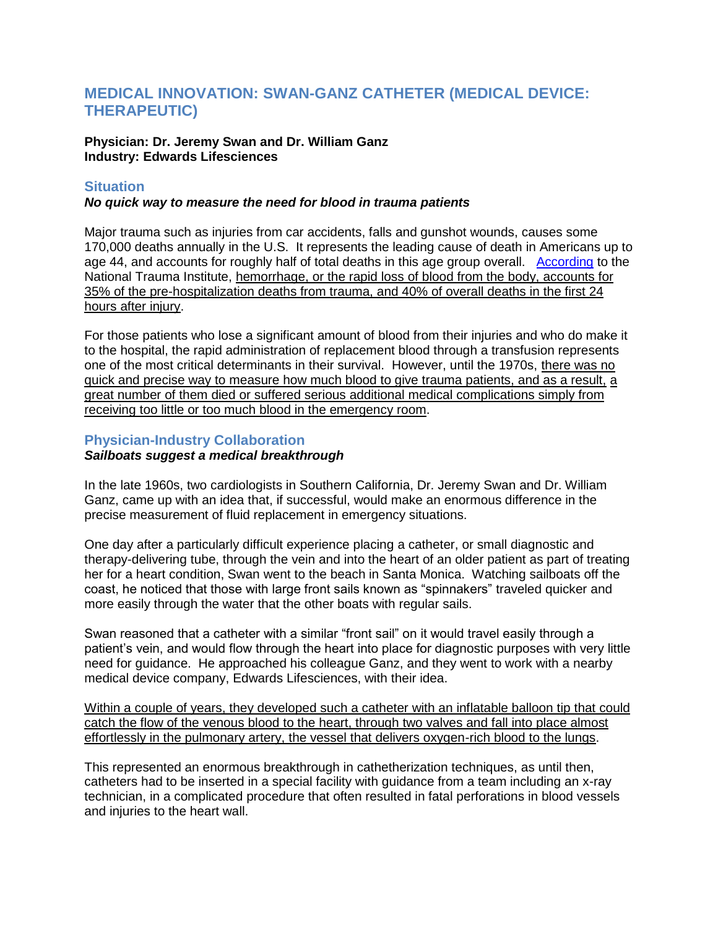# **MEDICAL INNOVATION: SWAN-GANZ CATHETER (MEDICAL DEVICE: THERAPEUTIC)**

#### **Physician: Dr. Jeremy Swan and Dr. William Ganz Industry: Edwards Lifesciences**

### **Situation**

#### *No quick way to measure the need for blood in trauma patients*

Major trauma such as injuries from car accidents, falls and gunshot wounds, causes some 170,000 deaths annually in the U.S. It represents the leading cause of death in Americans up to age 44, and accounts for roughly half of total deaths in this age group overall. [According](http://www.nationaltraumainstitute.org/home/hemorrhage.html) to the National Trauma Institute, hemorrhage, or the rapid loss of blood from the body, accounts for 35% of the pre-hospitalization deaths from trauma, and 40% of overall deaths in the first 24 hours after injury.

For those patients who lose a significant amount of blood from their injuries and who do make it to the hospital, the rapid administration of replacement blood through a transfusion represents one of the most critical determinants in their survival. However, until the 1970s, there was no quick and precise way to measure how much blood to give trauma patients, and as a result, a great number of them died or suffered serious additional medical complications simply from receiving too little or too much blood in the emergency room.

## **Physician-Industry Collaboration**

#### *Sailboats suggest a medical breakthrough*

In the late 1960s, two cardiologists in Southern California, Dr. Jeremy Swan and Dr. William Ganz, came up with an idea that, if successful, would make an enormous difference in the precise measurement of fluid replacement in emergency situations.

One day after a particularly difficult experience placing a catheter, or small diagnostic and therapy-delivering tube, through the vein and into the heart of an older patient as part of treating her for a heart condition, Swan went to the beach in Santa Monica. Watching sailboats off the coast, he noticed that those with large front sails known as "spinnakers" traveled quicker and more easily through the water that the other boats with regular sails.

Swan reasoned that a catheter with a similar "front sail" on it would travel easily through a patient's vein, and would flow through the heart into place for diagnostic purposes with very little need for guidance. He approached his colleague Ganz, and they went to work with a nearby medical device company, Edwards Lifesciences, with their idea.

Within a couple of years, they developed such a catheter with an inflatable balloon tip that could catch the flow of the venous blood to the heart, through two valves and fall into place almost effortlessly in the pulmonary artery, the vessel that delivers oxygen-rich blood to the lungs.

This represented an enormous breakthrough in cathetherization techniques, as until then, catheters had to be inserted in a special facility with guidance from a team including an x-ray technician, in a complicated procedure that often resulted in fatal perforations in blood vessels and injuries to the heart wall.